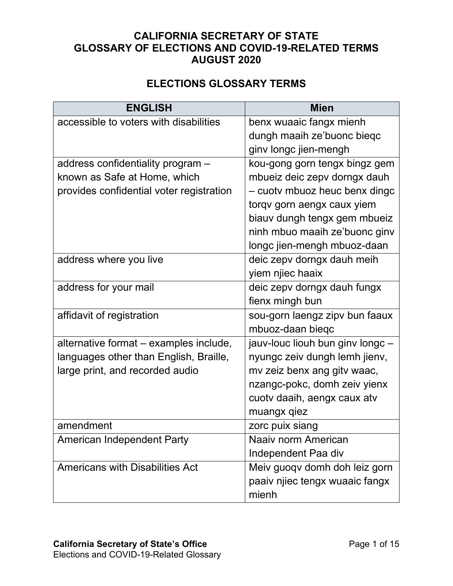## **CALIFORNIA SECRETARY OF STATE GLOSSARY OF ELECTIONS AND COVID-19-RELATED TERMS AUGUST 2020**

## **ELECTIONS GLOSSARY TERMS**

| <b>ENGLISH</b>                           | <b>Mien</b>                      |
|------------------------------------------|----------------------------------|
| accessible to voters with disabilities   | benx wuaaic fangx mienh          |
|                                          | dungh maaih ze'buonc bieqc       |
|                                          | ginv longc jien-mengh            |
| address confidentiality program -        | kou-gong gorn tengx bingz gem    |
| known as Safe at Home, which             | mbueiz deic zepv dorngx dauh     |
| provides confidential voter registration | - cuotv mbuoz heuc benx dingc    |
|                                          | torqv gorn aengx caux yiem       |
|                                          | biauv dungh tengx gem mbueiz     |
|                                          | ninh mbuo maaih ze'buonc ginv    |
|                                          | longc jien-mengh mbuoz-daan      |
| address where you live                   | deic zepv dorngx dauh meih       |
|                                          | yiem njiec haaix                 |
| address for your mail                    | deic zepv dorngx dauh fungx      |
|                                          | fienx mingh bun                  |
| affidavit of registration                | sou-gorn laengz zipv bun faaux   |
|                                          | mbuoz-daan bieqc                 |
| alternative format - examples include,   | jauv-louc liouh bun ginv longc - |
| languages other than English, Braille,   | nyungc zeiv dungh lemh jienv,    |
| large print, and recorded audio          | mv zeiz benx ang gitv waac,      |
|                                          | nzangc-pokc, domh zeiv yienx     |
|                                          | cuotv daaih, aengx caux atv      |
|                                          | muangx qiez                      |
| amendment                                | zorc puix siang                  |
| <b>American Independent Party</b>        | Naaiv norm American              |
|                                          | Independent Paa div              |
| <b>Americans with Disabilities Act</b>   | Meiv guoqv domh doh leiz gorn    |
|                                          | paaiv njiec tengx wuaaic fangx   |
|                                          | mienh                            |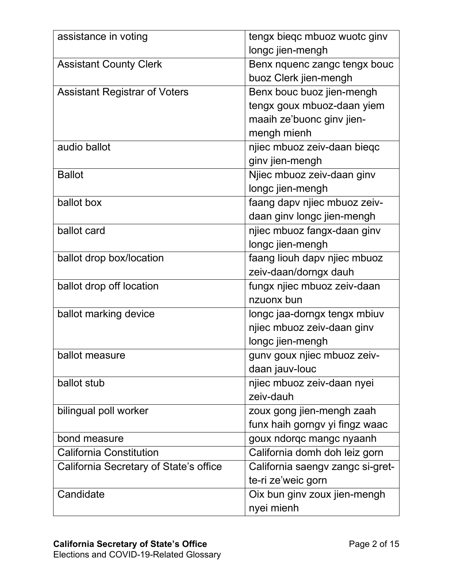| assistance in voting                   | tengx bieqc mbuoz wuotc ginv     |
|----------------------------------------|----------------------------------|
|                                        | longc jien-mengh                 |
| <b>Assistant County Clerk</b>          | Benx nquenc zangc tengx bouc     |
|                                        | buoz Clerk jien-mengh            |
| <b>Assistant Registrar of Voters</b>   | Benx bouc buoz jien-mengh        |
|                                        | tengx goux mbuoz-daan yiem       |
|                                        | maaih ze'buonc ginv jien-        |
|                                        | mengh mienh                      |
| audio ballot                           | njiec mbuoz zeiv-daan bieqc      |
|                                        | ginv jien-mengh                  |
| <b>Ballot</b>                          | Njiec mbuoz zeiv-daan ginv       |
|                                        | longc jien-mengh                 |
| ballot box                             | faang dapv njiec mbuoz zeiv-     |
|                                        | daan ginv longc jien-mengh       |
| ballot card                            | njiec mbuoz fangx-daan ginv      |
|                                        | longc jien-mengh                 |
| ballot drop box/location               | faang liouh dapv njiec mbuoz     |
|                                        | zeiv-daan/dorngx dauh            |
| ballot drop off location               | fungx njiec mbuoz zeiv-daan      |
|                                        | nzuonx bun                       |
| ballot marking device                  | longc jaa-dorngx tengx mbiuv     |
|                                        | njiec mbuoz zeiv-daan ginv       |
|                                        | longc jien-mengh                 |
| ballot measure                         | gunv goux njiec mbuoz zeiv-      |
|                                        | daan jauv-louc                   |
| ballot stub                            | njiec mbuoz zeiv-daan nyei       |
|                                        | zeiv-dauh                        |
| bilingual poll worker                  | zoux gong jien-mengh zaah        |
|                                        | funx haih gorngv yi fingz waac   |
| bond measure                           | goux ndorqc mangc nyaanh         |
| <b>California Constitution</b>         | California domh doh leiz gorn    |
| California Secretary of State's office | California saengv zangc si-gret- |
|                                        | te-ri ze'weic gorn               |
| Candidate                              | Oix bun ginv zoux jien-mengh     |
|                                        | nyei mienh                       |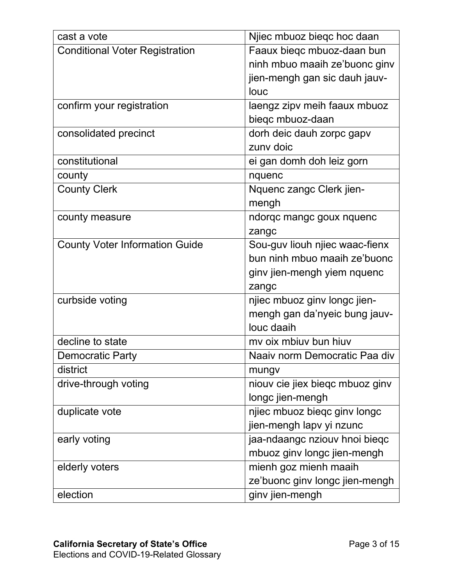| cast a vote                           | Njiec mbuoz biegc hoc daan      |
|---------------------------------------|---------------------------------|
| <b>Conditional Voter Registration</b> | Faaux bieqc mbuoz-daan bun      |
|                                       | ninh mbuo maaih ze'buonc ginv   |
|                                       | jien-mengh gan sic dauh jauv-   |
|                                       | louc                            |
| confirm your registration             | laengz zipv meih faaux mbuoz    |
|                                       | bieqc mbuoz-daan                |
| consolidated precinct                 | dorh deic dauh zorpc gapv       |
|                                       | zuny doic                       |
| constitutional                        | ei gan domh doh leiz gorn       |
| county                                | nquenc                          |
| <b>County Clerk</b>                   | Nquenc zangc Clerk jien-        |
|                                       | mengh                           |
| county measure                        | ndorqc mangc goux nquenc        |
|                                       | zangc                           |
| <b>County Voter Information Guide</b> | Sou-guv liouh njiec waac-fienx  |
|                                       | bun ninh mbuo maaih ze'buonc    |
|                                       | ginv jien-mengh yiem nquenc     |
|                                       | zangc                           |
| curbside voting                       | njiec mbuoz ginv longc jien-    |
|                                       | mengh gan da'nyeic bung jauv-   |
|                                       | louc daaih                      |
| decline to state                      | my oix mbiuv bun hiuv           |
| <b>Democratic Party</b>               | Naaiv norm Democratic Paa div   |
| district                              | mungv                           |
| drive-through voting                  | niouv cie jiex bieqc mbuoz ginv |
|                                       | longc jien-mengh                |
| duplicate vote                        | njiec mbuoz biegc ginv longc    |
|                                       | jien-mengh lapv yi nzunc        |
| early voting                          | jaa-ndaangc nziouv hnoi bieqc   |
|                                       | mbuoz ginv longc jien-mengh     |
| elderly voters                        | mienh goz mienh maaih           |
|                                       | ze'buonc ginv longc jien-mengh  |
| election                              | ginv jien-mengh                 |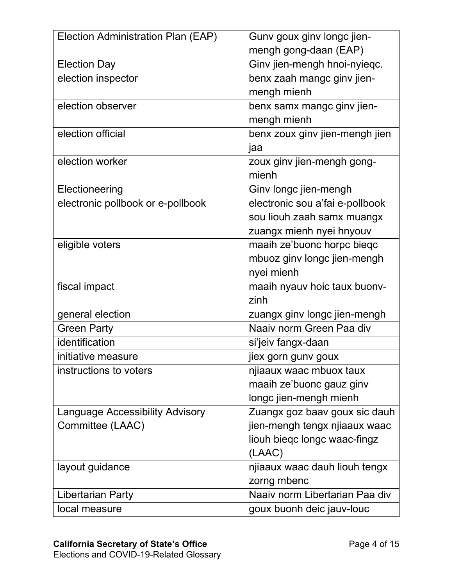| Election Administration Plan (EAP)     | Gunv goux ginv longc jien-      |
|----------------------------------------|---------------------------------|
|                                        | mengh gong-daan (EAP)           |
| <b>Election Day</b>                    | Ginv jien-mengh hnoi-nyieqc.    |
| election inspector                     | benx zaah mangc ginv jien-      |
|                                        | mengh mienh                     |
| election observer                      | benx samx mangc ginv jien-      |
|                                        | mengh mienh                     |
| election official                      | benx zoux ginv jien-mengh jien  |
|                                        | jaa                             |
| election worker                        | zoux ginv jien-mengh gong-      |
|                                        | mienh                           |
| Electioneering                         | Ginv longc jien-mengh           |
| electronic pollbook or e-pollbook      | electronic sou a'fai e-pollbook |
|                                        | sou liouh zaah samx muangx      |
|                                        | zuangx mienh nyei hnyouv        |
| eligible voters                        | maaih ze'buonc horpc bieqc      |
|                                        | mbuoz ginv longc jien-mengh     |
|                                        | nyei mienh                      |
| fiscal impact                          | maaih nyauv hoic taux buonv-    |
|                                        | zinh                            |
| general election                       | zuangx ginv longc jien-mengh    |
| <b>Green Party</b>                     | Naaiv norm Green Paa div        |
| identification                         | si'jeiv fangx-daan              |
| initiative measure                     | jiex gorn gunv goux             |
| instructions to voters                 | njiaaux waac mbuox taux         |
|                                        | maaih ze'buonc gauz ginv        |
|                                        | longc jien-mengh mienh          |
| <b>Language Accessibility Advisory</b> | Zuangx goz baav goux sic dauh   |
| Committee (LAAC)                       | jien-mengh tengx njiaaux waac   |
|                                        | liouh biegc longc waac-fingz    |
|                                        | (LAAC)                          |
| layout guidance                        | njiaaux waac dauh liouh tengx   |
|                                        | zorng mbenc                     |
| <b>Libertarian Party</b>               | Naaiv norm Libertarian Paa div  |
| local measure                          | goux buonh deic jauv-louc       |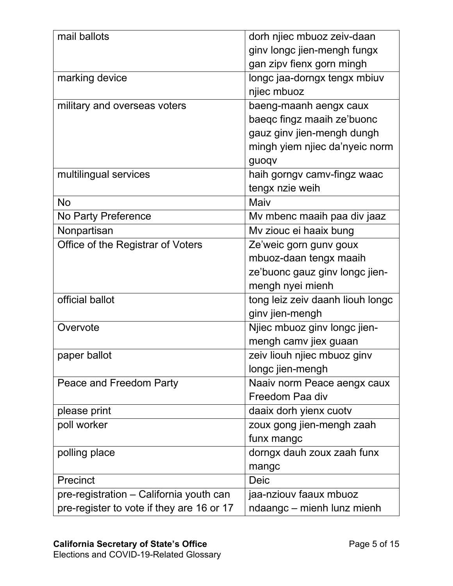| mail ballots                              | dorh njiec mbuoz zeiv-daan       |
|-------------------------------------------|----------------------------------|
|                                           | ginv longc jien-mengh fungx      |
|                                           | gan zipv fienx gorn mingh        |
| marking device                            | longc jaa-dorngx tengx mbiuv     |
|                                           | njiec mbuoz                      |
| military and overseas voters              | baeng-maanh aengx caux           |
|                                           | baeqc fingz maaih ze'buonc       |
|                                           | gauz ginv jien-mengh dungh       |
|                                           | mingh yiem njiec da'nyeic norm   |
|                                           | guoqv                            |
| multilingual services                     | haih gorngv camv-fingz waac      |
|                                           | tengx nzie weih                  |
| <b>No</b>                                 | Maiv                             |
| No Party Preference                       | Mv mbenc maaih paa div jaaz      |
| Nonpartisan                               | Mv ziouc ei haaix bung           |
| Office of the Registrar of Voters         | Ze'weic gorn gunv goux           |
|                                           | mbuoz-daan tengx maaih           |
|                                           | ze'buonc gauz ginv longc jien-   |
|                                           | mengh nyei mienh                 |
| official ballot                           | tong leiz zeiv daanh liouh longc |
|                                           | ginv jien-mengh                  |
| Overvote                                  | Njiec mbuoz ginv longc jien-     |
|                                           | mengh camv jiex guaan            |
| paper ballot                              | zeiv liouh njiec mbuoz ginv      |
|                                           | longc jien-mengh                 |
| Peace and Freedom Party                   | Naaiv norm Peace aengx caux      |
|                                           | Freedom Paa div                  |
| please print                              | daaix dorh yienx cuotv           |
| poll worker                               | zoux gong jien-mengh zaah        |
|                                           | funx mangc                       |
| polling place                             | dorngx dauh zoux zaah funx       |
|                                           | mangc                            |
| Precinct                                  | <b>Deic</b>                      |
| pre-registration – California youth can   | jaa-nziouv faaux mbuoz           |
| pre-register to vote if they are 16 or 17 | ndaangc – mienh lunz mienh       |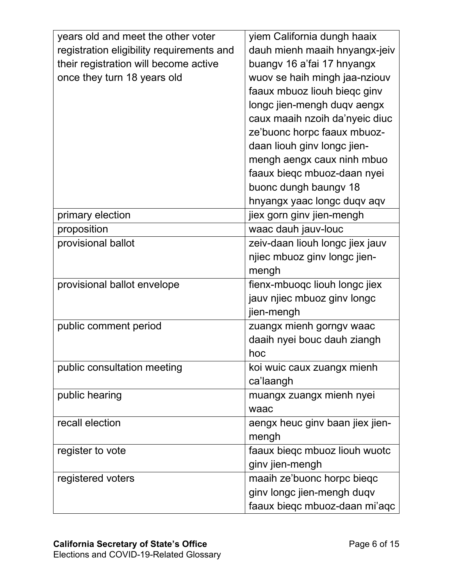| years old and meet the other voter        | yiem California dungh haaix     |  |
|-------------------------------------------|---------------------------------|--|
| registration eligibility requirements and | dauh mienh maaih hnyangx-jeiv   |  |
| their registration will become active     | buangv 16 a'fai 17 hnyangx      |  |
| once they turn 18 years old               | wuov se haih mingh jaa-nziouv   |  |
|                                           | faaux mbuoz liouh biegc ginv    |  |
|                                           | longc jien-mengh duqv aengx     |  |
|                                           | caux maaih nzoih da'nyeic diuc  |  |
|                                           | ze'buonc horpc faaux mbuoz-     |  |
|                                           | daan liouh ginv longc jien-     |  |
|                                           | mengh aengx caux ninh mbuo      |  |
|                                           | faaux bieqc mbuoz-daan nyei     |  |
|                                           | buonc dungh baungv 18           |  |
|                                           | hnyangx yaac longc duqv aqv     |  |
| primary election                          | jiex gorn ginv jien-mengh       |  |
| proposition                               | waac dauh jauv-louc             |  |
| provisional ballot                        | zeiv-daan liouh longc jiex jauv |  |
|                                           | njiec mbuoz ginv longc jien-    |  |
|                                           | mengh                           |  |
| provisional ballot envelope               | fienx-mbuoqc liouh longc jiex   |  |
|                                           | jauv njiec mbuoz ginv longc     |  |
|                                           | jien-mengh                      |  |
| public comment period                     | zuangx mienh gorngy waac        |  |
|                                           | daaih nyei bouc dauh ziangh     |  |
|                                           | hoc                             |  |
| public consultation meeting               | koi wuic caux zuangx mienh      |  |
|                                           | ca'laangh                       |  |
| public hearing                            | muangx zuangx mienh nyei        |  |
|                                           | waac                            |  |
| recall election                           | aengx heuc ginv baan jiex jien- |  |
|                                           | mengh                           |  |
| register to vote                          | faaux bieqc mbuoz liouh wuotc   |  |
|                                           | ginv jien-mengh                 |  |
| registered voters                         | maaih ze'buonc horpc bieqc      |  |
|                                           | ginv longc jien-mengh duqv      |  |
|                                           | faaux bieqc mbuoz-daan mi'aqc   |  |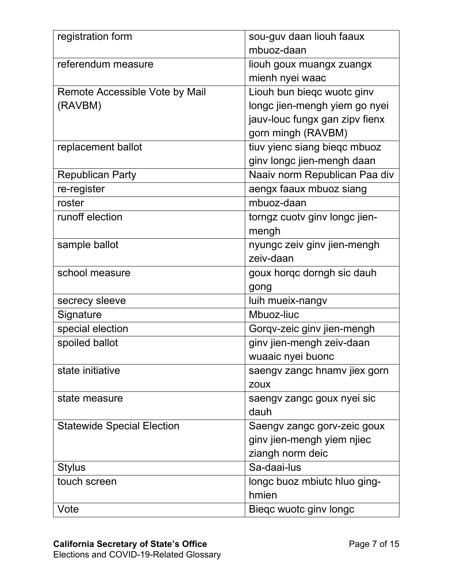| registration form                 | sou-guv daan liouh faaux       |
|-----------------------------------|--------------------------------|
|                                   | mbuoz-daan                     |
| referendum measure                | liouh goux muangx zuangx       |
|                                   | mienh nyei waac                |
| Remote Accessible Vote by Mail    | Liouh bun biegc wuotc ginv     |
| (RAVBM)                           | longc jien-mengh yiem go nyei  |
|                                   | jauv-louc fungx gan zipv fienx |
|                                   | gorn mingh (RAVBM)             |
| replacement ballot                | tiuv yienc siang bieqc mbuoz   |
|                                   | ginv longc jien-mengh daan     |
| <b>Republican Party</b>           | Naaiv norm Republican Paa div  |
| re-register                       | aengx faaux mbuoz siang        |
| roster                            | mbuoz-daan                     |
| runoff election                   | torngz cuotv ginv longc jien-  |
|                                   | mengh                          |
| sample ballot                     | nyungc zeiv ginv jien-mengh    |
|                                   | zeiv-daan                      |
| school measure                    | goux horqc dorngh sic dauh     |
|                                   | gong                           |
| secrecy sleeve                    | luih mueix-nangv               |
| Signature                         | Mbuoz-liuc                     |
| special election                  | Gorqv-zeic ginv jien-mengh     |
| spoiled ballot                    | ginv jien-mengh zeiv-daan      |
|                                   | wuaaic nyei buonc              |
| state initiative                  | saengv zangc hnamv jiex gorn   |
|                                   | <b>ZOUX</b>                    |
| state measure                     | saengv zangc goux nyei sic     |
|                                   | dauh                           |
| <b>Statewide Special Election</b> | Saengv zangc gorv-zeic goux    |
|                                   | ginv jien-mengh yiem njiec     |
|                                   | ziangh norm deic               |
| <b>Stylus</b>                     | Sa-daai-lus                    |
| touch screen                      | longc buoz mbiutc hluo ging-   |
|                                   | hmien                          |
| Vote                              | Bieqc wuotc ginv longc         |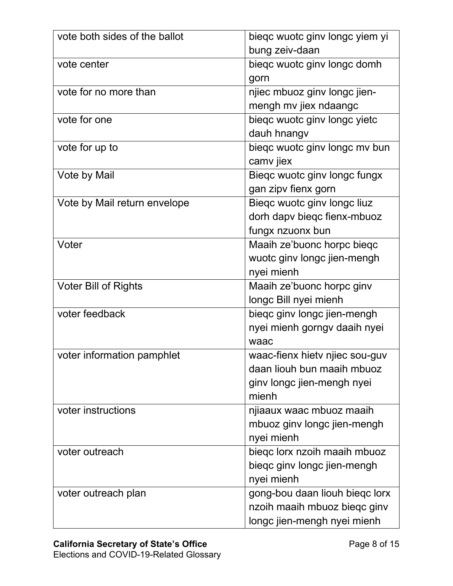| vote both sides of the ballot | bieqc wuotc ginv longc yiem yi |
|-------------------------------|--------------------------------|
|                               | bung zeiv-daan                 |
| vote center                   | biegc wuotc ginv longc domh    |
|                               | gorn                           |
| vote for no more than         | njiec mbuoz ginv longc jien-   |
|                               | mengh mv jiex ndaangc          |
| vote for one                  | biegc wuotc ginv longc yietc   |
|                               | dauh hnangv                    |
| vote for up to                | bieqc wuotc ginv longc mv bun  |
|                               | camv jiex                      |
| Vote by Mail                  | Bieqc wuotc ginv longc fungx   |
|                               | gan zipv fienx gorn            |
| Vote by Mail return envelope  | Bieqc wuotc ginv longc liuz    |
|                               | dorh dapv biegc fienx-mbuoz    |
|                               | fungx nzuonx bun               |
| Voter                         | Maaih ze'buonc horpc bieqc     |
|                               | wuotc ginv longc jien-mengh    |
|                               | nyei mienh                     |
| <b>Voter Bill of Rights</b>   | Maaih ze'buonc horpc ginv      |
|                               | longc Bill nyei mienh          |
| voter feedback                | biegc ginv longc jien-mengh    |
|                               | nyei mienh gorngy daaih nyei   |
|                               | waac                           |
| voter information pamphlet    | waac-fienx hiety nijec sou-quv |
|                               | daan liouh bun maaih mbuoz     |
|                               | ginv longc jien-mengh nyei     |
|                               | mienh                          |
| voter instructions            | njiaaux waac mbuoz maaih       |
|                               | mbuoz ginv longc jien-mengh    |
|                               | nyei mienh                     |
| voter outreach                | bieqc lorx nzoih maaih mbuoz   |
|                               | bieqc ginv longc jien-mengh    |
|                               | nyei mienh                     |
| voter outreach plan           | gong-bou daan liouh bieqc lorx |
|                               | nzoih maaih mbuoz bieqc ginv   |
|                               | longc jien-mengh nyei mienh    |
|                               |                                |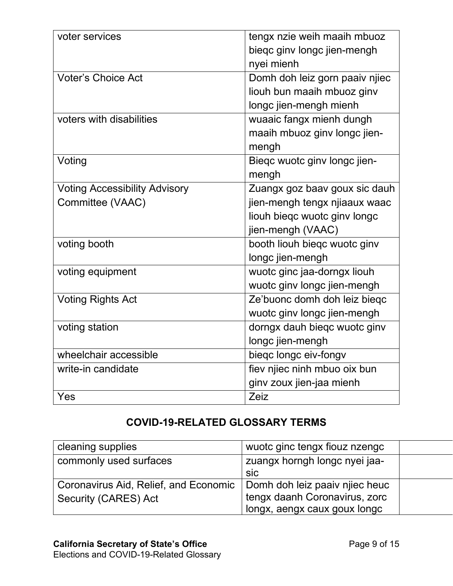| voter services                       |                                |
|--------------------------------------|--------------------------------|
|                                      | tengx nzie weih maaih mbuoz    |
|                                      | bieqc ginv longc jien-mengh    |
|                                      | nyei mienh                     |
| <b>Voter's Choice Act</b>            | Domh doh leiz gorn paaiv njiec |
|                                      | liouh bun maaih mbuoz ginv     |
|                                      | longc jien-mengh mienh         |
| voters with disabilities             | wuaaic fangx mienh dungh       |
|                                      | maaih mbuoz ginv longc jien-   |
|                                      | mengh                          |
| Voting                               | Biegc wuotc ginv longc jien-   |
|                                      | mengh                          |
| <b>Voting Accessibility Advisory</b> | Zuangx goz baav goux sic dauh  |
| Committee (VAAC)                     | jien-mengh tengx njiaaux waac  |
|                                      | liouh biegc wuotc ginv longc   |
|                                      | jien-mengh (VAAC)              |
| voting booth                         | booth liouh biegc wuotc ginv   |
|                                      | longc jien-mengh               |
| voting equipment                     | wuotc ginc jaa-dorngx liouh    |
|                                      | wuotc ginv longc jien-mengh    |
| <b>Voting Rights Act</b>             | Ze'buonc domh doh leiz biegc   |
|                                      | wuotc ginv longc jien-mengh    |
| voting station                       | dorngx dauh bieqc wuotc ginv   |
|                                      | longc jien-mengh               |
| wheelchair accessible                | bieqc longc eiv-fongv          |
| write-in candidate                   | fiev njiec ninh mbuo oix bun   |
|                                      | ginv zoux jien-jaa mienh       |
| Yes                                  | Zeiz                           |

## **COVID-19-RELATED GLOSSARY TERMS**

| cleaning supplies                     | wuotc ginc tengx fiouz nzengc  |  |
|---------------------------------------|--------------------------------|--|
| commonly used surfaces                | zuangx horngh longc nyei jaa-  |  |
|                                       | sic                            |  |
| Coronavirus Aid, Relief, and Economic | Domh doh leiz paaiv njiec heuc |  |
| Security (CARES) Act                  | tengx daanh Coronavirus, zorc  |  |
|                                       | longx, aengx caux goux longc   |  |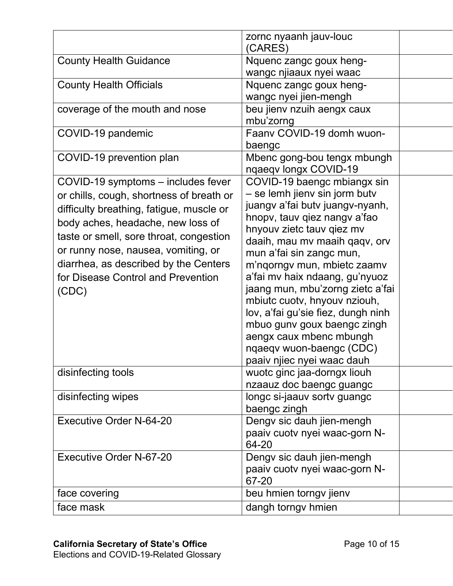|                                          | zornc nyaanh jauv-louc<br>(CARES)  |  |
|------------------------------------------|------------------------------------|--|
| <b>County Health Guidance</b>            | Nquenc zangc goux heng-            |  |
|                                          | wangc njiaaux nyei waac            |  |
| <b>County Health Officials</b>           | Nquenc zangc goux heng-            |  |
|                                          | wangc nyei jien-mengh              |  |
| coverage of the mouth and nose           | beu jienv nzuih aengx caux         |  |
|                                          | mbu'zorng                          |  |
| COVID-19 pandemic                        | Faanv COVID-19 domh wuon-          |  |
|                                          | baengc                             |  |
| COVID-19 prevention plan                 | Mbenc gong-bou tengx mbungh        |  |
|                                          | nqaeqv longx COVID-19              |  |
| COVID-19 symptoms – includes fever       | COVID-19 baengc mbiangx sin        |  |
| or chills, cough, shortness of breath or | - se lemh jienv sin jorm butv      |  |
| difficulty breathing, fatigue, muscle or | juangv a'fai butv juangv-nyanh,    |  |
| body aches, headache, new loss of        | hnopv, tauv qiez nangv a'fao       |  |
|                                          | hnyouv zietc tauv giez mv          |  |
| taste or smell, sore throat, congestion  | daaih, mau mv maaih qaqv, orv      |  |
| or runny nose, nausea, vomiting, or      | mun a'fai sin zangc mun,           |  |
| diarrhea, as described by the Centers    | m'ngorngy mun, mbietc zaamv        |  |
| for Disease Control and Prevention       | a'fai mv haix ndaang, gu'nyuoz     |  |
| (CDC)                                    | jaang mun, mbu'zorng zietc a'fai   |  |
|                                          | mbiutc cuotv, hnyouv nziouh,       |  |
|                                          | lov, a'fai gu'sie fiez, dungh ninh |  |
|                                          | mbuo gunv goux baengc zingh        |  |
|                                          | aengx caux mbenc mbungh            |  |
|                                          | nqaeqv wuon-baengc (CDC)           |  |
|                                          | paaiv njiec nyei waac dauh         |  |
| disinfecting tools                       | wuotc ginc jaa-dorngx liouh        |  |
|                                          | nzaauz doc baengc guangc           |  |
| disinfecting wipes                       | longc si-jaauv sortv guangc        |  |
|                                          | baengc zingh                       |  |
| Executive Order N-64-20                  | Dengv sic dauh jien-mengh          |  |
|                                          | paaiv cuotv nyei waac-gorn N-      |  |
|                                          | 64-20                              |  |
| Executive Order N-67-20                  | Dengv sic dauh jien-mengh          |  |
|                                          | paaiv cuotv nyei waac-gorn N-      |  |
|                                          | 67-20                              |  |
| face covering                            | beu hmien torngv jienv             |  |
| face mask                                | dangh torngv hmien                 |  |
|                                          |                                    |  |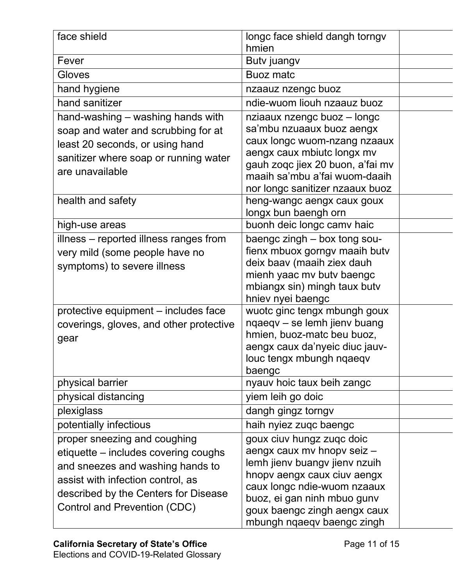| face shield                             | longc face shield dangh torngv                             |
|-----------------------------------------|------------------------------------------------------------|
|                                         | hmien                                                      |
| Fever                                   | Butv juangv                                                |
| Gloves                                  | <b>Buoz matc</b>                                           |
| hand hygiene                            | nzaauz nzengc buoz                                         |
| hand sanitizer                          | ndie-wuom liouh nzaauz buoz                                |
| hand-washing – washing hands with       | nziaaux nzengc buoz - longc                                |
| soap and water and scrubbing for at     | sa'mbu nzuaaux buoz aengx                                  |
| least 20 seconds, or using hand         | caux longc wuom-nzang nzaaux                               |
| sanitizer where soap or running water   | aengx caux mbiutc longx mv                                 |
| are unavailable                         | gauh zogc jiex 20 buon, a'fai mv                           |
|                                         | maaih sa'mbu a'fai wuom-daaih                              |
|                                         | nor longc sanitizer nzaaux buoz                            |
| health and safety                       | heng-wangc aengx caux goux                                 |
| high-use areas                          | longx bun baengh orn<br>buonh deic longc camv haic         |
| illness – reported illness ranges from  | baengc zingh - box tong sou-                               |
|                                         | fienx mbuox gorngv maaih butv                              |
| very mild (some people have no          | deix baav (maaih ziex dauh                                 |
| symptoms) to severe illness             | mienh yaac mv butv baengc                                  |
|                                         | mbiangx sin) mingh taux butv                               |
|                                         | hniev nyei baengc                                          |
| protective equipment – includes face    | wuotc ginc tengx mbungh goux                               |
| coverings, gloves, and other protective | nqaeqv - se lemh jienv buang                               |
| gear                                    | hmien, buoz-matc beu buoz,                                 |
|                                         | aengx caux da'nyeic diuc jauv-                             |
|                                         | louc tengx mbungh nqaeqv                                   |
|                                         | baengc                                                     |
| physical barrier                        | nyauv hoic taux beih zangc                                 |
| physical distancing                     | yiem leih go doic                                          |
| plexiglass                              | dangh gingz torngv                                         |
| potentially infectious                  | haih nyiez zugc baengc                                     |
| proper sneezing and coughing            | goux ciuv hungz zugc doic                                  |
| etiquette – includes covering coughs    | aengx caux mv hnopv seiz -                                 |
| and sneezes and washing hands to        | lemh jienv buangv jienv nzuih                              |
| assist with infection control, as       | hnopy aengx caux ciuv aengx                                |
| described by the Centers for Disease    | caux longc ndie-wuom nzaaux                                |
| Control and Prevention (CDC)            | buoz, ei gan ninh mbuo gunv                                |
|                                         | goux baengc zingh aengx caux<br>mbungh nqaeqv baengc zingh |
|                                         |                                                            |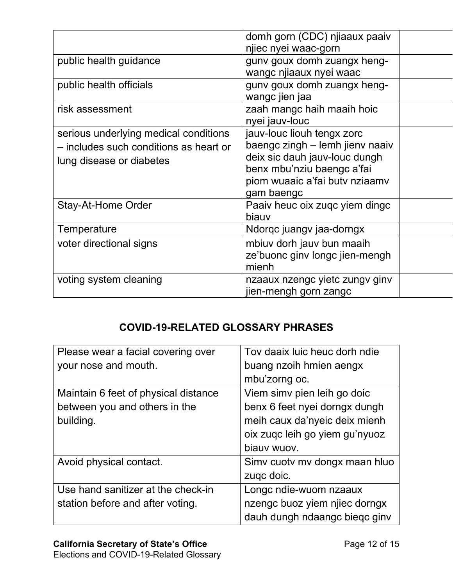|                                        | domh gorn (CDC) njiaaux paaiv   |
|----------------------------------------|---------------------------------|
|                                        | njiec nyei waac-gorn            |
| public health guidance                 | gunv goux domh zuangx heng-     |
|                                        | wangc njiaaux nyei waac         |
| public health officials                | guny goux domh zuangx heng-     |
|                                        | wangc jien jaa                  |
| risk assessment                        | zaah mangc haih maaih hoic      |
|                                        | nyei jauv-louc                  |
| serious underlying medical conditions  | jauv-louc liouh tengx zorc      |
| - includes such conditions as heart or | baengc zingh - lemh jienv naaiv |
| lung disease or diabetes               | deix sic dauh jauv-louc dungh   |
|                                        | benx mbu'nziu baengc a'fai      |
|                                        | piom wuaaic a'fai butv nziaamv  |
|                                        | gam baengc                      |
| Stay-At-Home Order                     | Paaiv heuc oix zugc yiem dingc  |
|                                        | biauv                           |
| Temperature                            | Ndorqc juangv jaa-dorngx        |
| voter directional signs                | mbiuv dorh jauv bun maaih       |
|                                        | ze'buonc ginv longc jien-mengh  |
|                                        | mienh                           |
| voting system cleaning                 | nzaaux nzengc yietc zungv ginv  |
|                                        | jien-mengh gorn zangc           |

## **COVID-19-RELATED GLOSSARY PHRASES**

| Please wear a facial covering over   | Tov daaix luic heuc dorh ndie  |
|--------------------------------------|--------------------------------|
| your nose and mouth.                 | buang nzoih hmien aengx        |
|                                      | mbu'zorng oc.                  |
| Maintain 6 feet of physical distance | Viem simv pien leih go doic    |
| between you and others in the        | benx 6 feet nyei dorngx dungh  |
| building.                            | meih caux da'nyeic deix mienh  |
|                                      | oix zugc leih go yiem gu'nyuoz |
|                                      | biauv wuov.                    |
| Avoid physical contact.              | Simv cuoty my dongx maan hluo  |
|                                      | zugc doic.                     |
| Use hand sanitizer at the check-in   | Longc ndie-wuom nzaaux         |
| station before and after voting.     | nzengc buoz yiem njiec dorngx  |
|                                      | dauh dungh ndaangc bieqc ginv  |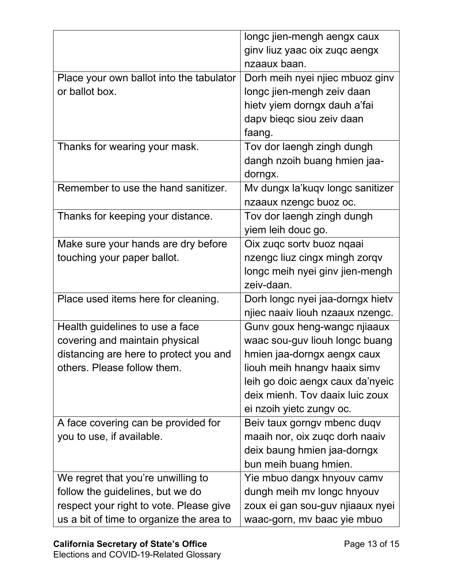|                                          | longc jien-mengh aengx caux      |
|------------------------------------------|----------------------------------|
|                                          | ginv liuz yaac oix zuqc aengx    |
|                                          | nzaaux baan.                     |
| Place your own ballot into the tabulator | Dorh meih nyei njiec mbuoz ginv  |
| or ballot box.                           | longc jien-mengh zeiv daan       |
|                                          | hietv yiem dorngx dauh a'fai     |
|                                          | dapv bieqc siou zeiv daan        |
|                                          | faang.                           |
| Thanks for wearing your mask.            | Tov dor laengh zingh dungh       |
|                                          | dangh nzoih buang hmien jaa-     |
|                                          | dorngx.                          |
| Remember to use the hand sanitizer.      | Mv dungx la'kuqv longc sanitizer |
|                                          | nzaaux nzengc buoz oc.           |
| Thanks for keeping your distance.        | Tov dor laengh zingh dungh       |
|                                          | yiem leih douc go.               |
| Make sure your hands are dry before      | Oix zugc sortv buoz ngaai        |
| touching your paper ballot.              | nzengc liuz cingx mingh zorqv    |
|                                          | longc meih nyei ginv jien-mengh  |
|                                          | zeiv-daan.                       |
| Place used items here for cleaning.      | Dorh longc nyei jaa-dorngx hietv |
|                                          | njiec naaiv liouh nzaaux nzengc. |
| Health guidelines to use a face          | Gunv goux heng-wangc njiaaux     |
| covering and maintain physical           | waac sou-guv liouh longc buang   |
| distancing are here to protect you and   | hmien jaa-dorngx aengx caux      |
| others. Please follow them.              | liouh meih hnangy haaix simv     |
|                                          | leih go doic aengx caux da'nyeic |
|                                          | deix mienh. Tov daaix luic zoux  |
|                                          | ei nzoih yietc zungv oc.         |
| A face covering can be provided for      | Beiv taux gorngy mbenc duqv      |
| you to use, if available.                | maaih nor, oix zugc dorh naaiv   |
|                                          | deix baung hmien jaa-dorngx      |
|                                          | bun meih buang hmien.            |
| We regret that you're unwilling to       | Yie mbuo dangx hnyouv camv       |
| follow the guidelines, but we do         | dungh meih mv longc hnyouv       |
| respect your right to vote. Please give  | zoux ei gan sou-guv njiaaux nyei |
| us a bit of time to organize the area to | waac-gorn, mv baac yie mbuo      |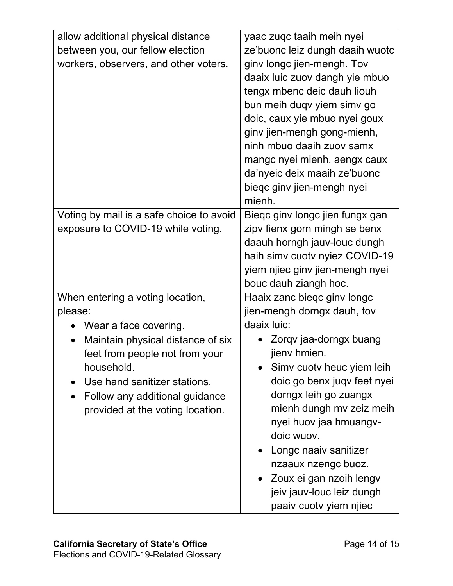| allow additional physical distance<br>between you, our fellow election<br>workers, observers, and other voters.                                                                                                                                                              | yaac zuqc taaih meih nyei<br>ze'buonc leiz dungh daaih wuotc<br>ginv longc jien-mengh. Tov<br>daaix luic zuov dangh yie mbuo<br>tengx mbenc deic dauh liouh<br>bun meih duqv yiem simv go<br>doic, caux yie mbuo nyei goux<br>ginv jien-mengh gong-mienh,<br>ninh mbuo daaih zuov samx                                                                                                                         |
|------------------------------------------------------------------------------------------------------------------------------------------------------------------------------------------------------------------------------------------------------------------------------|----------------------------------------------------------------------------------------------------------------------------------------------------------------------------------------------------------------------------------------------------------------------------------------------------------------------------------------------------------------------------------------------------------------|
|                                                                                                                                                                                                                                                                              | mangc nyei mienh, aengx caux<br>da'nyeic deix maaih ze'buonc<br>bieqc ginv jien-mengh nyei<br>mienh.                                                                                                                                                                                                                                                                                                           |
| Voting by mail is a safe choice to avoid<br>exposure to COVID-19 while voting.                                                                                                                                                                                               | Biegc ginv longc jien fungx gan<br>zipv fienx gorn mingh se benx<br>daauh horngh jauv-louc dungh<br>haih simv cuotv nyiez COVID-19<br>yiem njiec ginv jien-mengh nyei<br>bouc dauh ziangh hoc.                                                                                                                                                                                                                 |
| When entering a voting location,<br>please:<br>Wear a face covering.<br>Maintain physical distance of six<br>$\bullet$<br>feet from people not from your<br>household.<br>Use hand sanitizer stations.<br>Follow any additional guidance<br>provided at the voting location. | Haaix zanc biegc ginv longc<br>jien-mengh dorngx dauh, tov<br>daaix luic:<br>Zorqv jaa-dorngx buang<br>jienv hmien.<br>Simv cuoty heuc yiem leih<br>doic go benx juqv feet nyei<br>dorngx leih go zuangx<br>mienh dungh mv zeiz meih<br>nyei huov jaa hmuangv-<br>doic wuov.<br>Longc naaiv sanitizer<br>nzaaux nzengc buoz.<br>Zoux ei gan nzoih lengv<br>jeiv jauv-louc leiz dungh<br>paaiv cuotv yiem njiec |